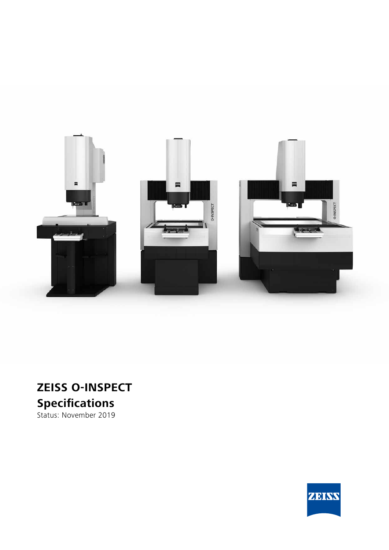

# **ZEISS O-INSPECT Specifications**

Status: November 2019

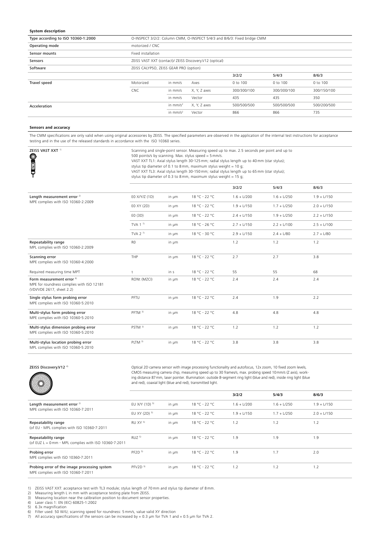#### **System description**

| Type according to ISO 10360-1:2000 |                                                         |            | O-INSPECT 3/2/2: Column CMM, O-INSPECT 5/4/3 and 8/6/3: Fixed bridge CMM |             |             |             |  |
|------------------------------------|---------------------------------------------------------|------------|--------------------------------------------------------------------------|-------------|-------------|-------------|--|
| Operating mode                     | motorized / CNC                                         |            |                                                                          |             |             |             |  |
| Sensor mounts                      | Fixed installation                                      |            |                                                                          |             |             |             |  |
| Sensors                            | ZEISS VAST XXT (contact)/ ZEISS Discovery.V12 (optical) |            |                                                                          |             |             |             |  |
| Software                           | ZEISS CALYPSO, ZEISS GEAR PRO (option)                  |            |                                                                          |             |             |             |  |
|                                    |                                                         |            |                                                                          | 3/2/2       | 5/4/3       | 8/6/3       |  |
| Travel speed                       | Motorized                                               | in mm/s    | Axes                                                                     | 0 to 100    | 0 to 100    | 0 to 100    |  |
|                                    | <b>CNC</b>                                              | in mm/s    | X, Y, Z axes                                                             | 300/300/100 | 300/300/100 | 300/150/100 |  |
|                                    |                                                         | in mm/s    | Vector                                                                   | 435         | 435         | 350         |  |
| Acceleration                       |                                                         | in $mm/s2$ | X, Y, Z axes                                                             | 500/500/500 | 500/500/500 | 500/200/500 |  |
|                                    |                                                         | in $mm/s2$ | Vector                                                                   | 866         | 866         | 735         |  |

#### **Sensors and accuracy**

The CMM specifications are only valid when using original accessories by ZEISS. The specified parameters are observed in the application of the internal test instructions for acceptance testing and in the use of the released standards in accordance with the ISO 10360 series.

| ZEISS VAST XXT <sup>1)</sup><br><b>THE REAL PROPE</b>                                                          | Scanning and single-point sensor. Measuring speed up to max. 2.5 seconds per point and up to<br>500 points/s by scanning. Max. stylus speed = 5 mm/s.<br>VAST XXT TL1: Axial stylus length 30-125 mm; radial stylus length up to 40 mm (star stylus);<br>stylus tip diameter of 0.1 to 8 mm, maximum stylus weight = 10 g;<br>VAST XXT TL3: Axial stylus length 30-150 mm; radial stylus length up to 65 mm (star stylus);<br>stylus tip diameter of 0.3 to 8 mm, maximum stylus weight = 15 g; |       |               |               |               |               |  |  |  |  |
|----------------------------------------------------------------------------------------------------------------|-------------------------------------------------------------------------------------------------------------------------------------------------------------------------------------------------------------------------------------------------------------------------------------------------------------------------------------------------------------------------------------------------------------------------------------------------------------------------------------------------|-------|---------------|---------------|---------------|---------------|--|--|--|--|
|                                                                                                                |                                                                                                                                                                                                                                                                                                                                                                                                                                                                                                 |       |               | 3/2/2         | 5/4/3         | 8/6/3         |  |  |  |  |
| Length measurement error <sup>2)</sup>                                                                         | E0 X/Y/Z (1D)                                                                                                                                                                                                                                                                                                                                                                                                                                                                                   | in um | 18 °C - 22 °C | $1.6 + L/200$ | $1.6 + L/250$ | $1.9 + L/150$ |  |  |  |  |
| MPE complies with ISO 10360-2:2009                                                                             | E0 XY (2D)                                                                                                                                                                                                                                                                                                                                                                                                                                                                                      | in µm | 18 °C - 22 °C | $1.9 + L/150$ | $1.7 + L/250$ | $2.0 + L/150$ |  |  |  |  |
|                                                                                                                | E0 (3D)                                                                                                                                                                                                                                                                                                                                                                                                                                                                                         | in um | 18 °C - 22 °C | $2.4 + L/150$ | $1.9 + L/250$ | $2.2 + L/150$ |  |  |  |  |
|                                                                                                                | TVA 1 $7$                                                                                                                                                                                                                                                                                                                                                                                                                                                                                       | in um | 18 °C - 26 °C | $2.7 + L/150$ | $2.2 + L/100$ | $2.5 + L/100$ |  |  |  |  |
|                                                                                                                | TVA $27$                                                                                                                                                                                                                                                                                                                                                                                                                                                                                        | in um | 18 °C - 30 °C | $2.9 + L/150$ | $2.4 + L/80$  | $2.7 + L/80$  |  |  |  |  |
| Repeatability range<br>MPL complies with ISO 10360-2:2009                                                      | R <sub>0</sub>                                                                                                                                                                                                                                                                                                                                                                                                                                                                                  | in um |               | 1.2           | 1.2           | 1.2           |  |  |  |  |
| Scanning error<br>MPE complies with ISO 10360-4:2000                                                           | THP                                                                                                                                                                                                                                                                                                                                                                                                                                                                                             | in um | 18 °C - 22 °C | 2.7           | 2.7           | 3.8           |  |  |  |  |
| Required measuring time MPT                                                                                    | τ                                                                                                                                                                                                                                                                                                                                                                                                                                                                                               | in s  | 18 °C - 22 °C | 55            | 55            | 68            |  |  |  |  |
| Form measurement error <sup>6)</sup><br>MPE for roundness complies with ISO 12181<br>(VDI/VDE 2617, sheet 2.2) | RONt (MZCI)                                                                                                                                                                                                                                                                                                                                                                                                                                                                                     | in um | 18 °C - 22 °C | 2.4           | 2.4           | 2.4           |  |  |  |  |
| Single stylus form probing error<br>MPE complies with ISO 10360-5:2010                                         | PFTU                                                                                                                                                                                                                                                                                                                                                                                                                                                                                            | in um | 18 °C - 22 °C | 2.4           | 1.9           | 2.2           |  |  |  |  |
| Multi-stylus form probing error<br>MPE complies with ISO 10360-5:2010                                          | PFTM <sup>3)</sup>                                                                                                                                                                                                                                                                                                                                                                                                                                                                              | in um | 18 °C - 22 °C | 4.8           | 4.8           | 4.8           |  |  |  |  |
| Multi-stylus dimension probing error<br>MPE complies with ISO 10360-5:2010                                     | PSTM <sup>3)</sup>                                                                                                                                                                                                                                                                                                                                                                                                                                                                              | in um | 18 °C - 22 °C | 1.2           | 1.2           | 1.2           |  |  |  |  |
| Multi-stylus location probing error<br>MPL complies with ISO 10360-5:2010                                      | PLTM <sup>3)</sup>                                                                                                                                                                                                                                                                                                                                                                                                                                                                              | in um | 18 °C - 22 °C | 3.8           | 3.8           | 3.8           |  |  |  |  |

Optical 2D camera sensor with image processing functionality and autofocus, 12x zoom, 10 fixed zoom levels,<br>CMOS measuring camera chip, measuring speed up to 30 frames/s, max. probing speed 10 mm/s (Z axis), working distance 87mm, laser pointer. Illumination: outside 8-segment ring light (blue and red), inside ring light (blue and red), coaxial light (blue and red), transmitted light.

| $\sim$ $\sim$                                                                      |                     |       |               | 3/2/2         | 5/4/3         | 8/6/3         |
|------------------------------------------------------------------------------------|---------------------|-------|---------------|---------------|---------------|---------------|
| Length measurement error <sup>2)</sup>                                             | EU X/Y (1D) 5)      | in um | 18 °C - 22 °C | $1.6 + L/200$ | $1.6 + L/250$ | $1.9 + L/150$ |
| MPE complies with ISO 10360-7:2011                                                 | EU XY (2D) 5)       | in um | 18 °C - 22 °C | $1.9 + L/150$ | $1.7 + L/250$ | $2.0 + L/150$ |
| Repeatability range<br>(of EU - MPL complies with ISO 10360-7:2011                 | RU XY 5)            | in um | 18 °C - 22 °C | 1.2           | 1.2           | 1.2           |
| Repeatability range<br>(of EUZ L = $0$ mm - MPL complies with ISO 10360-7:2011     | RUZ <sup>5)</sup>   | in um | 18 °C - 22 °C | 1.9           | 1.9           | 1.9           |
| Probing error<br>MPE complies with ISO 10360-7:2011                                | PF2D <sup>5</sup>   | in um | 18 °C - 22 °C | 1.9           | 1.7           | 2.0           |
| Probing error of the image processing system<br>MPE complies with ISO 10360-7:2011 | PFV2D <sup>5)</sup> | in um | 18 °C - 22 °C | 1.2           | 1.2           | 1.2           |

1) ZEISS VAST XXT: acceptance test with TL3 module; stylus length of 70 mm and stylus tip diameter of 8 mm.<br>2) Measuring length L in mm with acceptance testing plate from ZEISS.<br>3) Measuring location near the calibration p

- 
- 

5) 6.3x magnification<br>6) Filter used: 50 W/U; scanning speed for roundness: 5 mm/s, value valid XY direction<br>7) All accuracy specifications of the sensors can be increased by + 0.3 μm for TVA 1 and + 0.5 μm for TVA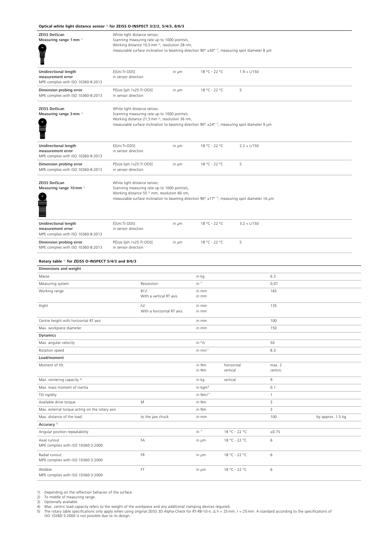### **Optical white light distance sensor** 1) **for ZEISS O-INSPECT 3/2/2, 5/4/3, 8/6/3**

| <b>ZEISS DotScan</b><br>Measuring range 1 mm <sup>1)</sup>                       | White light distance sensor,<br>Scanning measuring rate up to 1000 points/s,<br>Working distance 10,5 mm <sup>2</sup> , resolution 28 nm,<br>measurable surface inclination to beaming direction 90° $\pm$ 30° <sup>1)</sup> , measuring spot diameter 8 µm |                           |                      |                        |                   |  |
|----------------------------------------------------------------------------------|-------------------------------------------------------------------------------------------------------------------------------------------------------------------------------------------------------------------------------------------------------------|---------------------------|----------------------|------------------------|-------------------|--|
| Unidirectional length<br>measurement error<br>MPE complies with ISO 10360-8:2013 | E[Uni:Tr:ODS]<br>in sensor direction                                                                                                                                                                                                                        | in µm                     | 18 °C - 22 °C        | $1.9 + L/150$          |                   |  |
| Dimension probing error<br>MPE complies with ISO 10360-8:2013                    | P[Size.Sph.1x25:Tr:ODS]<br>in sensor direction                                                                                                                                                                                                              | in µm                     | 18 °C - 22 °C        | 5                      |                   |  |
| <b>ZEISS DotScan</b><br>Measuring range 3 mm <sup>1)</sup>                       | White light distance sensor,<br>Scanning measuring rate up to 1000 points/s,<br>Working distance 21,5 mm <sup>2</sup> , resolution 36 nm,<br>measurable surface inclination to beaming direction 90° ±24° <sup>1)</sup> , measuring spot diameter 9 µm      |                           |                      |                        |                   |  |
| Unidirectional length<br>measurement error<br>MPE complies with ISO 10360-8:2013 | E[Uni:Tr:ODS]<br>in sensor direction                                                                                                                                                                                                                        | in µm                     | 18 °C - 22 °C        | $2.2 + L/150$          |                   |  |
| Dimension probing error<br>MPE complies with ISO 10360-8:2013                    | P[Size.Sph.1x25:Tr:ODS]<br>in sensor direction                                                                                                                                                                                                              | in µm                     | 18 °C - 22 °C        | 5                      |                   |  |
| <b>ZEISS DotScan</b><br>Measuring range 10 mm <sup>1)</sup>                      | White light distance sensor,<br>Scanning measuring rate up to 1000 points/s,<br>Working distance 55 <sup>2)</sup> mm, resolution 60 nm,<br>measurable surface inclination to beaming direction 90° $\pm$ 17° <sup>1)</sup> , measuring spot diameter 16 µm  |                           |                      |                        |                   |  |
| Unidirectional length<br>measurement error<br>MPE complies with ISO 10360-8:2013 | E[Uni:Tr:ODS]<br>in sensor direction                                                                                                                                                                                                                        | in µm                     | 18 °C - 22 °C        | $3.2 + L/150$          |                   |  |
| Dimension probing error<br>MPE complies with ISO 10360-8:2013                    | P[Size.Sph.1x25:Tr:ODS]<br>in sensor direction                                                                                                                                                                                                              | in µm                     | 18 °C - 22 °C        | 5                      |                   |  |
| Rotary table <sup>3)</sup> for ZEISS O-INSPECT 5/4/3 and 8/6/3                   |                                                                                                                                                                                                                                                             |                           |                      |                        |                   |  |
| Dimensions and weight                                                            |                                                                                                                                                                                                                                                             |                           |                      |                        |                   |  |
| Masse                                                                            |                                                                                                                                                                                                                                                             |                           | in kg                |                        | 6.3               |  |
| Measuring system                                                                 | Resolution                                                                                                                                                                                                                                                  |                           | in "                 |                        | 0,07              |  |
| Working range                                                                    | <b>B12</b><br>With a vertical RT axis                                                                                                                                                                                                                       |                           | in mm<br>in mm       |                        | 165               |  |
| Hight                                                                            | h <sub>2</sub>                                                                                                                                                                                                                                              | With a horizontal RT axis | in mm<br>in mm       |                        | 135               |  |
| Centre height with horizontal RT axis                                            |                                                                                                                                                                                                                                                             |                           | in mm                |                        | 100               |  |
| Max. workpiece diameter                                                          |                                                                                                                                                                                                                                                             |                           | in mm                |                        | 150               |  |
| <b>Dynamics</b>                                                                  |                                                                                                                                                                                                                                                             |                           |                      |                        |                   |  |
| Max. angular velocity                                                            |                                                                                                                                                                                                                                                             |                           | in %                 |                        | 50                |  |
| Rotation speed                                                                   |                                                                                                                                                                                                                                                             |                           | in min <sup>-1</sup> |                        | 8.3               |  |
| Load/moment                                                                      |                                                                                                                                                                                                                                                             |                           |                      |                        |                   |  |
| Moment of tilt                                                                   |                                                                                                                                                                                                                                                             |                           | in Nm<br>in Nm       | horizontal<br>vertical | max. 2<br>centric |  |
| Max. centering capacity <sup>4)</sup>                                            |                                                                                                                                                                                                                                                             |                           | in kg                | vertical               | 9                 |  |
| Max. mass moment of inertia                                                      |                                                                                                                                                                                                                                                             |                           | in kgm <sup>2</sup>  |                        | 0.1               |  |
| Tilt rigidity                                                                    |                                                                                                                                                                                                                                                             |                           | in Nm/"              |                        | $\mathbf{1}$      |  |
| Available drive torque                                                           | М                                                                                                                                                                                                                                                           |                           | in Nm                |                        | 3                 |  |

| Tilt rigidity                                       |                  | in Nm/" |               |       |                   |
|-----------------------------------------------------|------------------|---------|---------------|-------|-------------------|
| Available drive torque                              | M                | in Nm   |               | 3     |                   |
| Max. external torque acting on the rotary axis      |                  | in Nm   |               | 3     |                   |
| Max. distance of the load                           | to the jaw chuck | in mm   |               | 100   | by approx. 1.5 kg |
| Accuracy <sup>5)</sup>                              |                  |         |               |       |                   |
| Angular position repeatability                      |                  | in''    | 18 °C - 22 °C | ±0.75 |                   |
| Axial runout<br>MPE complies with ISO 10360-3:2000  | FA               | in um   | 18 °C - 22 °C | 6     |                   |
| Radial runout<br>MPE complies with ISO 10360-3:2000 | <b>FR</b>        | in um   | 18 °C - 22 °C | 6     |                   |
| Wobble<br>MPE complies with ISO 10360-3:2000        | FT               | in um   | 18 °C - 22 °C | 6     |                   |

1) Depending on the reflection behavior of the surface. 2) To middle of measuring range.

3) Optionally available.<br>4) Max. centric load capacity refers to the weight of the workpiece and any additional clamping devices required.<br>5) The rotary table specifications only apply when using original ZEISS 3D Alpha-C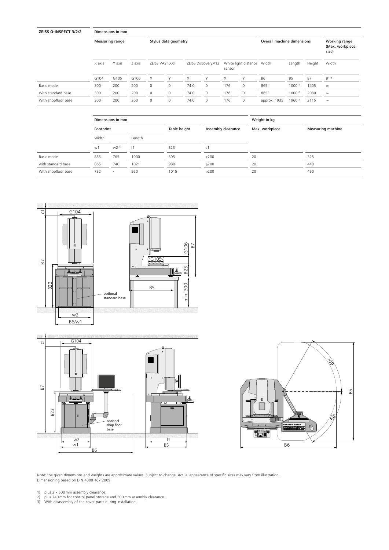| ZEISS O-INSPECT 3/2/2 |        | Dimensions in mm |        |   |                      |      |                     |        |                            |                            |                    |        |                                           |
|-----------------------|--------|------------------|--------|---|----------------------|------|---------------------|--------|----------------------------|----------------------------|--------------------|--------|-------------------------------------------|
|                       |        | Measuring range  |        |   | Stylus data geometry |      |                     |        |                            | Overall machine dimensions |                    |        | Working range<br>(Max. workpiece<br>size) |
|                       | X axis | Y axis           | Z axis |   | ZEISS VAST XXT       |      | ZEISS Discovery.V12 | sensor | White light distance Width |                            | Length             | Height | Width                                     |
|                       | G104   | G105             | G106   | X | Υ                    | X.   | Υ                   | X      | Υ                          | B6                         | B5                 | B7     | <b>B17</b>                                |
| Basic model           | 300    | 200              | 200    | 0 | $\mathbf 0$          | 74.0 | $\Omega$            | 176    | 0                          | $865^{1}$                  | $1000^{2}$         | 1405   | $\infty$                                  |
| With standard base    | 300    | 200              | 200    | 0 | $\mathbf 0$          | 74.0 | $\mathbf 0$         | 176    | 0                          | $865^{1}$                  | $1000^{2}$         | 2080   | $\infty$                                  |
| With shopfloor base   | 300    | 200              | 200    | 0 | $\mathbf 0$          | 74.0 | $\mathbf 0$         | 176    | $\mathbf 0$                | approx. 1935               | 1960 <sup>2)</sup> | 2115   | $_{\infty}$                               |

|                     |           | Dimensions in mm         |        |              |                    | Weight in kg   |                   |
|---------------------|-----------|--------------------------|--------|--------------|--------------------|----------------|-------------------|
|                     | Footprint |                          |        | Table height | Assembly clearance | Max. workpiece | Measuring machine |
|                     | Width     |                          | Length |              |                    |                |                   |
|                     | w1        | $W2$ <sup>3)</sup>       | 1      | <b>B23</b>   | C <sub>1</sub>     |                |                   |
| Basic model         | 865       | 765                      | 1000   | 305          | $\geq$ 200         | 20             | 325               |
| with standard base  | 865       | 740                      | 1021   | 980          | $\geq$ 200         | 20             | 440               |
| With shopfloor base | 732       | $\overline{\phantom{a}}$ | 920    | 1015         | $>200$             | 20             | 490               |
|                     |           |                          |        |              |                    |                |                   |



 $\frac{w1}{1}$  B5



Note: the given dimensions and weights are approximate values. Subject to change. Actual appearance of specific sizes may vary from illustration. Dimensioning based on DIN 4000-167:2009.

1) plus 2 x 500 mm assembly clearance.<br>2) plus 240 mm for control panel storage and 500 mm assembly clearance.<br>3) With disassembly of the cover parts during installation.

B6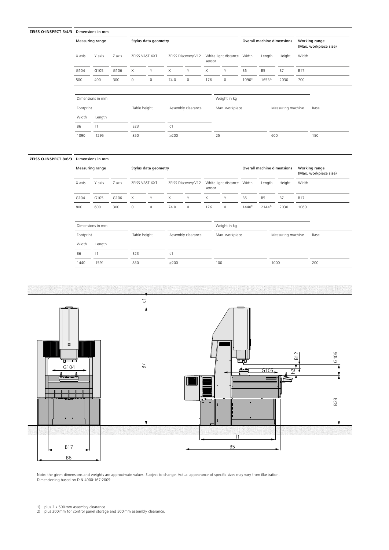#### **ZEISS O-INSPECT 5/4/3** Dimensions in mm

|                | Measuring range  |        |             | Stylus data geometry |                |                     |        |                            |           | Overall machine dimensions |                   | Working range<br>(Max. workpiece size) |  |
|----------------|------------------|--------|-------------|----------------------|----------------|---------------------|--------|----------------------------|-----------|----------------------------|-------------------|----------------------------------------|--|
| X axis         | Y axis           | Z axis |             | ZEISS VAST XXT       |                | ZEISS Discovery.V12 | sensor | White light distance Width |           | Length                     | Height            | Width                                  |  |
| G104           | G105             | G106   | X           | Y                    | X              | Υ                   | X      | Υ                          | <b>B6</b> | <b>B5</b>                  | <b>B7</b>         | <b>B17</b>                             |  |
| 500            | 400              | 300    | $\mathbf 0$ | $\mathbf 0$          | 74.0           | $\mathbf 0$         | 176    | $\mathbf{0}$               | 10901)    | $1653^{2}$                 | 2030              | 700                                    |  |
|                |                  |        |             |                      |                |                     |        |                            |           |                            |                   |                                        |  |
|                |                  |        |             |                      |                |                     |        |                            |           |                            |                   |                                        |  |
|                | Dimensions in mm |        |             |                      |                |                     |        | Weight in kg               |           |                            |                   |                                        |  |
| Footprint      |                  |        |             | Table height         |                | Assembly clearance  |        | Max. workpiece             |           |                            | Measuring machine | Base                                   |  |
| Width          | Length           |        |             |                      |                |                     |        |                            |           |                            |                   |                                        |  |
| B <sub>6</sub> | 1                |        | <b>B23</b>  |                      | C <sub>1</sub> |                     |        |                            |           |                            |                   |                                        |  |

## **ZEISS O-INSPECT 8/6/3** Dimensions in mm

|        | Measuring range  |        |          | Stylus data geometry  |      |                     |        |                      |             | Overall machine dimensions |        | Working range<br>(Max. workpiece size) |
|--------|------------------|--------|----------|-----------------------|------|---------------------|--------|----------------------|-------------|----------------------------|--------|----------------------------------------|
| X axis | Y axis           | Z axis |          | <b>ZEISS VAST XXT</b> |      | ZEISS Discovery.V12 | sensor | White light distance | Width       | Length                     | Height | Width                                  |
| G104   | G <sub>105</sub> | G106   | $\times$ | Y                     | X    | Y                   | x      | ▽                    | B6          | <b>B5</b>                  | B7     | <b>B17</b>                             |
| 800    | 600              | 300    | 0        | 0                     | 74.0 | $\Omega$            | 176    | $\Omega$             | $1440^{11}$ | $2144^{2}$                 | 2030   | 1060                                   |

| Dimensions in mm |        |              |                    | Weight in kg   |                   |      |
|------------------|--------|--------------|--------------------|----------------|-------------------|------|
| Footprint        |        | Table height | Assembly clearance | Max. workpiece | Measuring machine | Base |
| Width            | Length |              |                    |                |                   |      |
| B6               | 1      | <b>B23</b>   | c1                 |                |                   |      |
| 1440             | 1591   | 850          | >200               | 100            | 1000              | 200  |



Note: the given dimensions and weights are approximate values. Subject to change. Actual appearance of specific sizes may vary from illustration. Dimensioning based on DIN 4000-167:2009.

1) plus 2 x 500 mm assembly clearance. 2) plus 200 mm for control panel storage and 500 mm assembly clearance.